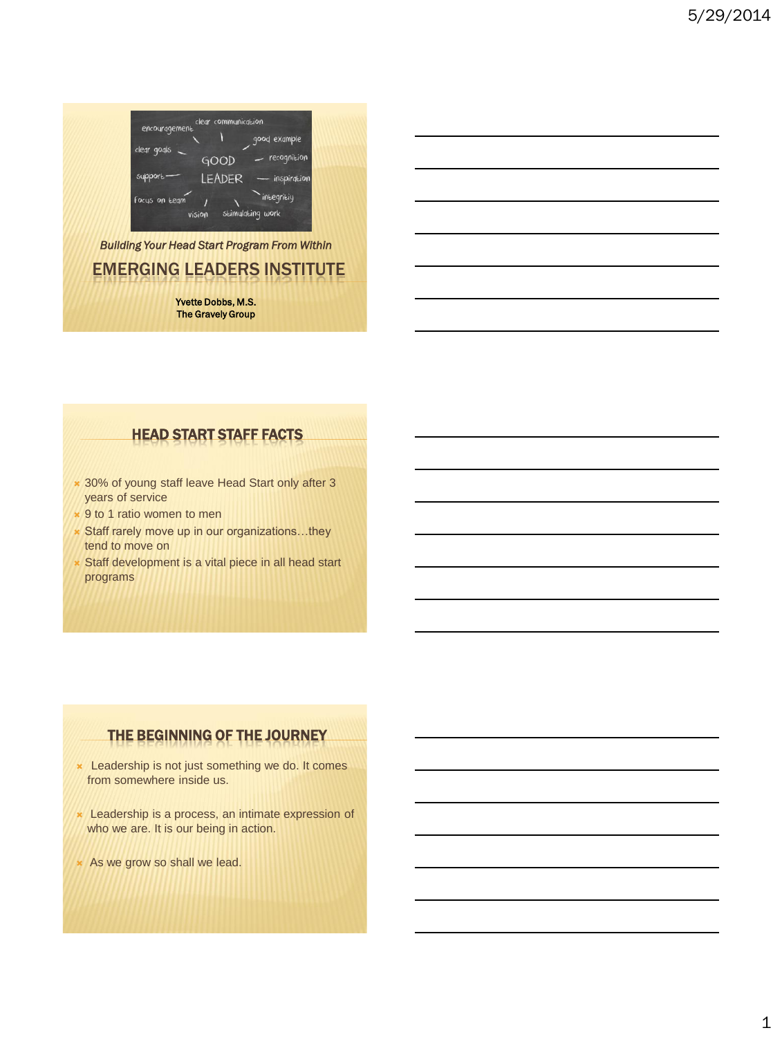

### EMERGING LEADERS INSTITUTE *Building Your Head Start Program From Within*

Yvette Dobbs, M.S. The Gravely Group

#### HEAD START STAFF FACTS

- \* 30% of young staff leave Head Start only after 3 years of service
- **\*** 9 to 1 ratio women to men
- **\* Staff rarely move up in our organizations...they** tend to move on
- Staff development is a vital piece in all head start programs

### THE BEGINNING OF THE JOURNEY

- **\*** Leadership is not just something we do. It comes from somewhere inside us.
- **\*** Leadership is a process, an intimate expression of who we are. It is our being in action.
- \* As we grow so shall we lead.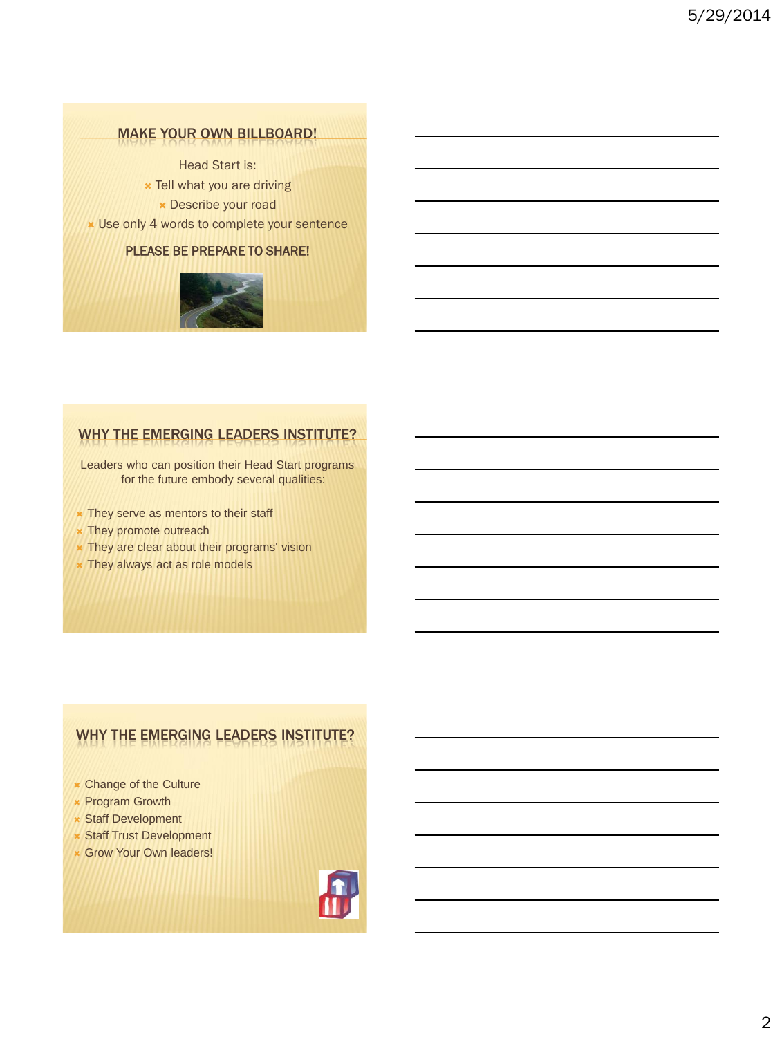### **MAKE YOUR OWN BILLBOARD!**

Head Start is:

- **x** Tell what you are driving
	- Describe your road
- Use only 4 words to complete your sentence

#### PLEASE BE PREPARE TO SHARE!



### WHY THE EMERGING LEADERS INSTITUTE?

Leaders who can position their Head Start programs for the future embody several qualities:

- **x** They serve as mentors to their staff
- **\*** They promote outreach
- **\*** They are clear about their programs' vision
- **x** They always act as role models

### WHY THE EMERGING LEADERS INSTITUTE?

- Change of the Culture
- **\* Program Growth**
- **x** Staff Development
- Staff Trust Development
- **\* Grow Your Own leaders!**

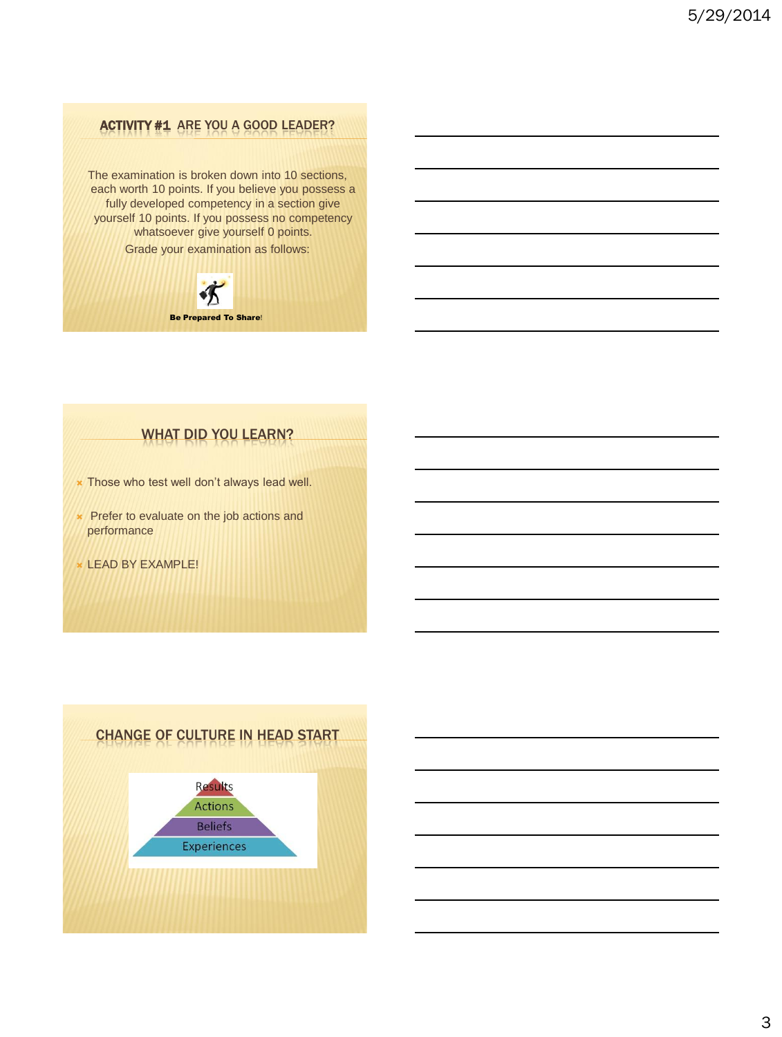### ACTIVITY #1 ARE YOU A GOOD LEADER?

The examination is broken down into 10 sections, each worth 10 points. If you believe you possess a fully developed competency in a section give yourself 10 points. If you possess no competency whatsoever give yourself 0 points. Grade your examination as follows:



### WHAT DID YOU LEARN?

- **\*** Those who test well don't always lead well.
- **\*** Prefer to evaluate on the job actions and performance
- LEAD BY EXAMPLE!

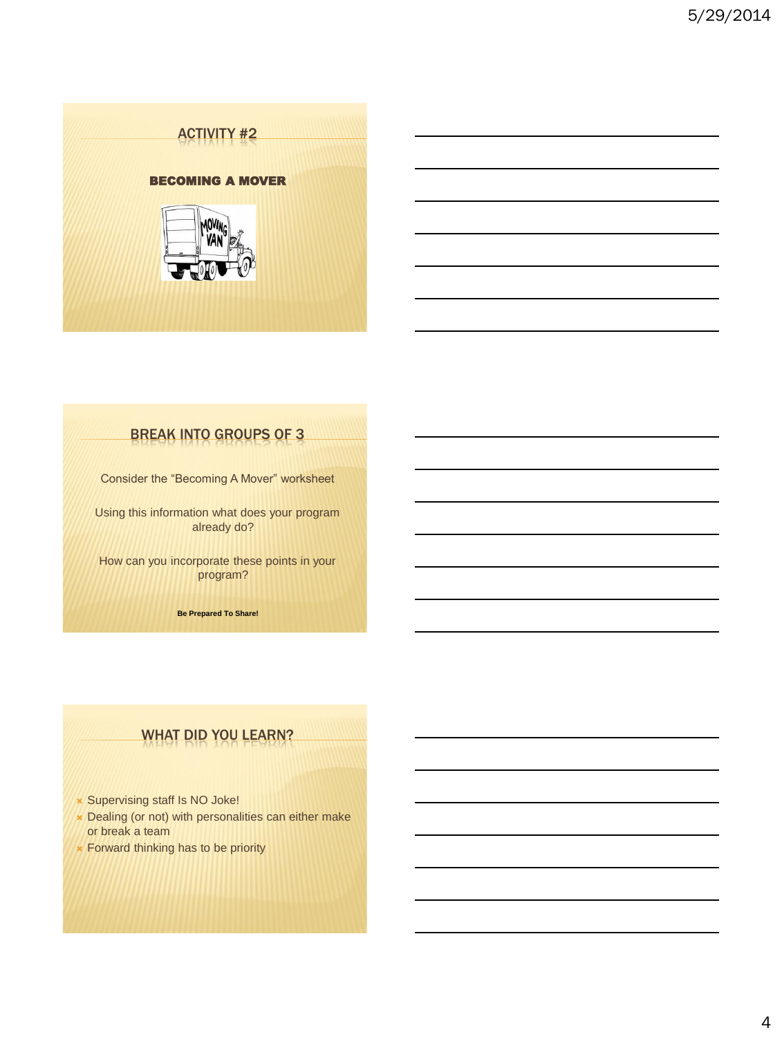

### BREAK INTO GROUPS OF 3

Consider the "Becoming A Mover" worksheet

Using this information what does your program already do?

How can you incorporate these points in your program?

**Be Prepared To Share!**

### WHAT DID YOU LEARN?

- Supervising staff Is NO Joke!
- Dealing (or not) with personalities can either make or break a team
- **\* Forward thinking has to be priority**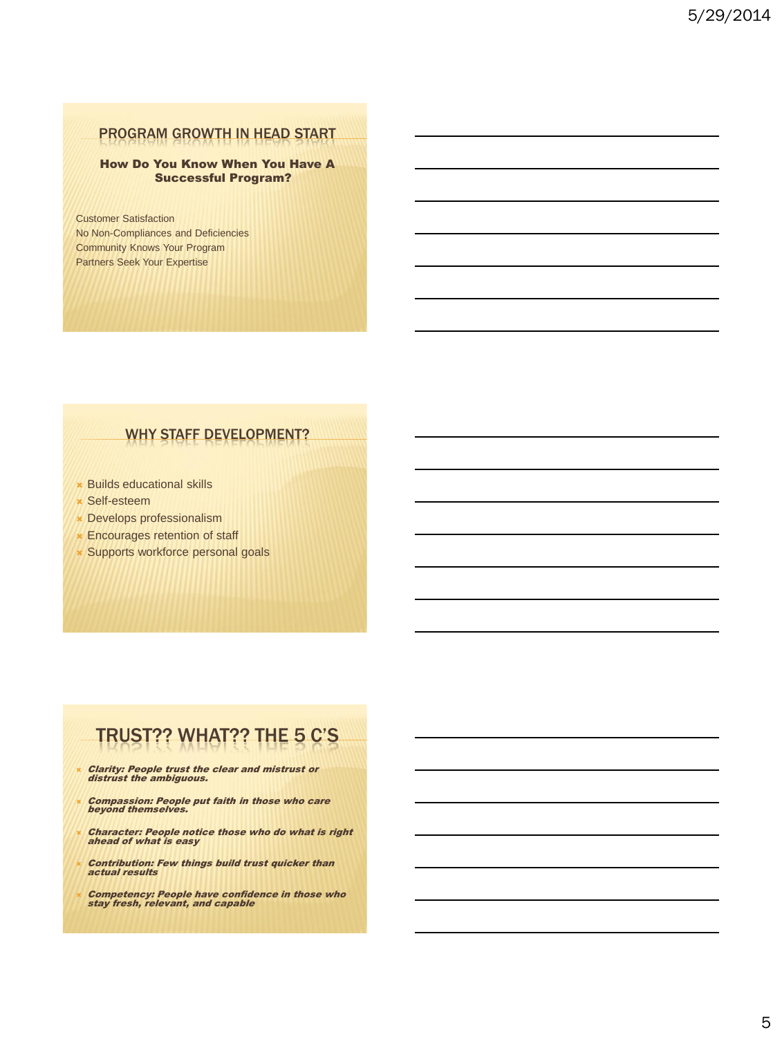#### PROGRAM GROWTH IN HEAD START

#### How Do You Know When You Have A Successful Program?

Customer Satisfaction No Non-Compliances and Deficiencies Community Knows Your Program Partners Seek Your Expertise

#### WHY STAFF DEVELOPMENT?

- Builds educational skills
- Self-esteem
- Develops professionalism
- **Encourages retention of staff**
- Supports workforce personal goals

# TRUST?? WHAT?? THE 5 C'S

- Clarity: People trust the clear and mistrust or distrust the ambiguous.
- Compassion: People put faith in those who care beyond themselves.
- Character: People notice those who do what is right ahead of what is easy
- Contribution: Few things build trust quicker than actual results

Competency: People have confidence in those who stay fresh, relevant, and capable